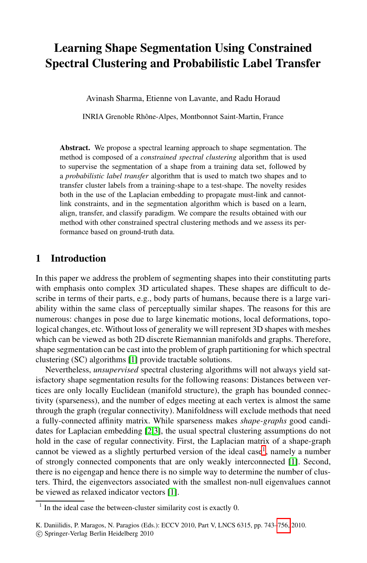# **Learning Shape Segmentation Using Constrained Spectral Clustering and Probabilistic Label Transfer**

Avinash Sharma, Etienne von Lavante, and Radu Horaud

INRIA Grenoble Rhˆone-Alpes, Montbonnot Saint-Martin, France

**Abstract.** We propose a spectral learning approach to shape segmentation. The method is composed of a *constrained spectral clustering* algorithm that is used to supervise the segmentation of a shape from a training data set, followed by a *probabilistic label transfer* algorithm that is used to match two shapes and to transfer cluster labels from a training-shape to a test-shape. The novelty resides both in the use of the Laplacian embedding to propagate must-link and cannotlink constraints, and in the segmentation algorithm which is based on a learn, align, transfer, and classify paradigm. We compare the results obtained with our method with other constrained spectral clustering methods and we assess its performance based on ground-truth data.

## **1 Introduction**

In this [pa](#page-12-0)per we address the problem of segmenting shapes into their constituting parts with emphasis onto complex 3D articulated shapes. These shapes are difficult to describe in terms of their parts, e.g., body parts of humans, because there is a large variability within the same class of perceptually similar shapes. The reasons for this are numerous: changes in pose due to large kinematic motions, local deformations, topological changes, etc. Without loss of generality we will represent 3D shapes with meshes which can be viewed as both 2D discrete Riemannian manifolds and graphs. Therefore, shape segm[en](#page-12-1)[ta](#page-12-2)tion can be cast into the problem of graph partitioning for which spectral clustering (SC) algorithms [1] provide tractable solutions.

<span id="page-0-0"></span>Nevertheless, *unsupervised* spectral cluste[rin](#page-0-0)g algorithms will not always yield satisfactory shape segmentation results for the following [re](#page-12-0)asons: Distances between vertices are only locally Euclidean (manifold structure), the graph has bounded connectivity (sparseness), and the number of edges meeting at each vertex is almost the same through the graph [\(re](#page-12-0)gular connectivity). Manifoldness will exclude methods that need a fully-connected affinity matrix. While sparseness makes *shape-graphs* good candidates for Laplacian embedding [2,3], the usual spectral clustering assumptions do not hold in the case of regular connectivity. First, the Laplacian matrix of a shape-graph cannot be viewed as a slightly perturbed version [of th](#page-13-0)e ideal case<sup>1</sup>, namely a number of strongly connected components that are only weakly interconnected [1]. Second, there is no eigengap and hence there is no simple way to determine the number of clusters. Third, the eigenvectors associated with the smallest non-null eigenvalues cannot be viewed as relaxed indicator vectors [1].

 $1$  In the ideal case the between-cluster similarity cost is exactly 0.

K. Daniilidis, P. Maragos, N. Paragios (Eds.): ECCV 2010, Part V, LNCS 6315, pp. 743–756, 2010.

<sup>-</sup>c Springer-Verlag Berlin Heidelberg 2010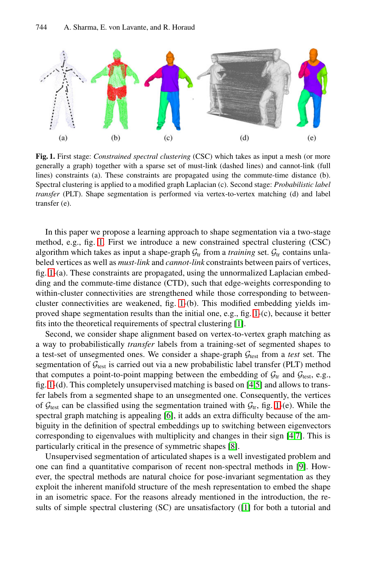<span id="page-1-0"></span>

**Fig. 1.** First stage: *Constrained spectral clustering* (CSC) which takes as input a mesh (or more generally a graph) together with a sparse set of must-link (dashed lines) and cannot-link (full lines) constraints (a). These constraints are propagated using the commute-time distance (b). Spectral clustering is applied to a modified graph Laplacian (c). Second stage: *Probabilistic label transfer* (PLT). Shape segmentation is performed via vertex-to-vertex matching (d) and label transfer (e).

In this paper we p[ro](#page-1-0)pose a learning appr[oa](#page-1-0)ch to shape segmentation via a two-stage method, e.g., fig. 1. First we introdu[ce](#page-12-0) a new constrained spectral clustering (CSC) algorithm which takes as input a shape-graph  $G_{tr}$  from a *training* set.  $G_{tr}$  contains unlabeled vertices as well as *must-link* and *cannot-link* constraints between pairs of vertices, fig. 1-(a). These constraints are propagated, using the unnormalized Laplacian embedding and the commute-time distance (CTD), such that edge-weights corresponding to within-cluster connectivities are strengthened while those corresponding to betweencluster connectivities are weakened, fig. [1](#page-12-3)[-\(b](#page-12-4)). This modified embedding yields improved shape segmentation results than the initial one, e.g., fig. 1-(c), because it better fits into the theoretical requirements of spectral c[lus](#page-1-0)tering [1].

Second, we c[ons](#page-12-5)ider shape alignment based on vertex-to-vertex graph matching as a way to probabilistically *transfer* labels from a training-set of segmented shapes to a test-set of unsegmented ones. We consider a shap[e-](#page-12-3)[gra](#page-12-6)ph  $G_{\text{test}}$  from a *test* set. The segmentation of  $\mathcal{G}_{\text{test}}$  is carried out [via](#page-12-7) a new probabilistic label transfer (PLT) method that computes a point-to-point mapping between the embedding of  $\mathcal{G}_{tr}$  and  $\mathcal{G}_{test}$ , e.g., fig. 1-(d). This completely unsupervised matching is bas[ed](#page-12-8) on [4,5] and allows to transfer labels from a segmented shape to an unsegmented one. Consequently, the vertices of  $G_{\text{test}}$  can be classified using the segmentation trained with  $G_{\text{tr}}$ , fig. 1-(e). While the spectral graph matching is appealing [6], it adds an extra difficulty because of the ambiguity in the definition of spectral emb[ed](#page-12-0)dings up to switching between eigenvectors corresponding to eigenvalues with multiplicity and changes in their sign [4,7]. This is particularly critical in the presence of symmetric shapes [8].

Unsupervised segmentation of articulated shapes is a well investigated problem and one can find a quantitative comparison of recent non-spectral methods in [9]. However, the spectral methods are natural choice for pose-invariant segmentation as they exploit the inherent manifold structure of the mesh representation to embed the shape in an isometric space. For the reasons already mentioned in the introduction, the results of simple spectral clustering (SC) are unsatisfactory ([1] for both a tutorial and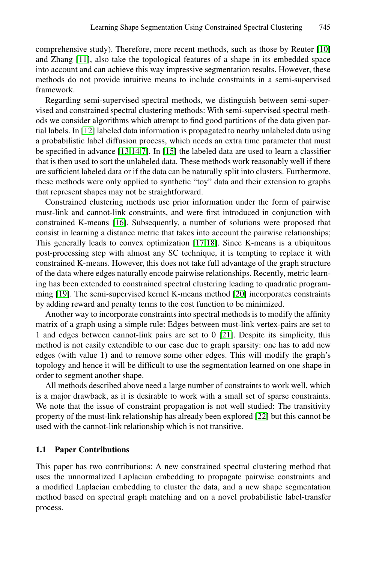comprehensive study). Therefore, more recent methods, such as those by Reuter [10] and Zhang [11], also take the topological features of a shape in its embedded space into [ac](#page-13-1)[cou](#page-13-2)[nt](#page-12-6) and [can](#page-13-3) achieve this way impressive segmentation results. However, these methods do not provide intuitive means to include constraints in a semi-supervised framework.

Regarding semi-supervised spectral methods, we distinguish between semi-supervised and constrained spectral clustering methods: With semi-supervised spectral methods we consider algorithms which attempt to find good partitions of the data given partial labels. In [12] labeled data information is propagated to nearby unlabeled data using a [prob](#page-13-4)abilistic label diffusion process, which needs an extra time parameter that must be specified in advance [13,14,7]. In [15] the labeled data are used to learn a classifier that is then used to sort th[e un](#page-13-5)[lab](#page-13-6)eled data. These methods work reasonably well if there are sufficient labeled data or if the data can be naturally split into clusters. Furthermore, these methods were only applied to synthetic "toy" data and their extension to graphs that represent shapes may not be straightforward.

Constrained clustering methods use prior information under the form of pairwise must-link and cannot-link constraint[s, a](#page-13-7)nd were first introduced in conjunction with constrained K-means [16]. Subsequently, a number of solutions were proposed that consist in learning a distance metric that takes into account the pairwise relationships; This generally leads to convex optimization [17,18]. Since K-means is a ubiquitous post-processing step with almost [an](#page-13-8)y SC technique, it is tempting to replace it with constrained K-means. However, this does not take full advantage of the graph structure of the data where edges naturally encode pairwise relationships. Recently, metric learning has been extended to constrained spectral clustering leading to quadratic programming [19]. The semi-supervised kernel K-means method [20] incorporates constraints by adding reward and penalty terms to the cost function to be minimized.

Another way to incorporate constraints into spectral methods is to modify the affinity matrix of a graph using a simple rule: Edges between must-link vertex-pairs are set to 1 and edges between cannot-link pairs are [set](#page-13-9) to 0 [21]. Despite its simplicity, this method is not easily extendible to our case due to graph sparsity: one has to add new edges (with value 1) and to remove some other edges. This will modify the graph's topology and hence it will be difficult to use the segmentation learned on one shape in order to segment another shape.

All methods described above need a large number of constraints to work well, which is a major drawback, as it is desirable to work with a small set of sparse constraints. We note that the issue of constraint propagation is not well studied: The transitivity property of the must-link relationship has already been explored [22] but this cannot be used with the cannot-link relationship which is not transitive.

#### **1.1 Paper Contributions**

This paper has two contributions: A new constrained spectral clustering method that uses the unnormalized Laplacian embedding to propagate pairwise constraints and a modified Laplacian embedding to cluster the data, and a new shape segmentation method based on spectral graph matching and on a novel probabilistic label-transfer process.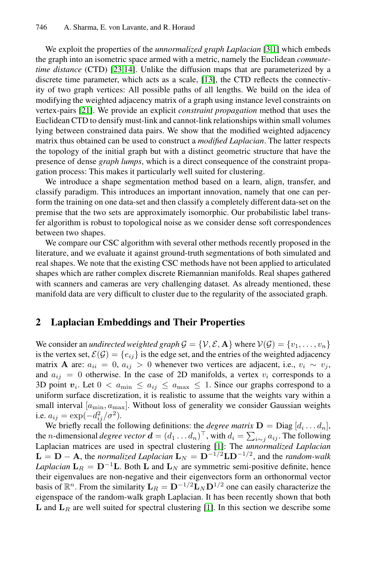We exploit the properties of the *unnormalized graph Laplacian* [3,1] which embeds the graph into an isometric space armed with a metric, namely the Euclidean *commutetime distance* (CTD) [23,14]. Unlike the diffusion maps that are parameterized by a discrete time parameter, which acts as a scale, [13], the CTD reflects the connectivity of two graph vertices: All possible paths of all lengths. We build on the idea of modifying the weighted adjacency matrix of a graph using instance level constraints on vertex-pairs [21]. We provide an explicit *constraint propagation* method that uses the Euclidean CTD to densify must-link and cannot-link relationships within small volumes lying between constrained data pairs. We show that the modified weighted adjacency matrix thus obtained can be used to construct a *modified Laplacian*. The latter respects the topology of the initial graph but with a distinct geometric structure that have the presence of dense *graph lumps*, which is a direct consequence of the constraint propagation process: This makes it particularly well suited for clustering.

We introduce a shape segmentation method based on a learn, align, transfer, and classify paradigm. This introduces an important innovation, namely that one can perform the training on one data-set and then classify a completely different data-set on the premise that the two sets are approximately isomorphic. Our probabilistic label transfer algorithm is robust to topological noise as we consider dense soft correspondences between two shapes.

We compare our CSC algorithm with several other methods recently proposed in the literature, and we evaluate it against ground-truth segmentations of both simulated and real shapes. We note that the existing CSC methods have not been applied to articulated shapes which are rather complex discrete Riemannian manifolds. Real shapes gathered with scanners and cameras are very challenging dataset. As already mentioned, these manifold data are very difficult to cluster due to the regularity of the associated graph.

## **2 Laplacian Embeddings and Their Properties**

We consider an *undirected weighted graph*  $G = \{V, \mathcal{E}, \mathbf{A}\}\$  where  $V(G) = \{v_1, \ldots, v_n\}$ is the vertex set,  $\mathcal{E}(\mathcal{G}) = \{e_{ij}\}\$ is the edge set, and the entries of the weighted adjacency matrix **A** are:  $a_{ii} = 0$  $a_{ii} = 0$ ,  $a_{ij} > 0$  whenever two vertices are adjacent, i.e.,  $v_i \sim v_j$ , and  $a_{ij} = 0$  otherwise. In the case of 2D manifolds, a vertex  $v_i$  corresponds to a 3D point  $v_i$ . Let  $0 < a_{\min} \le a_{ij} \le a_{\max} \le 1$ . Since our graphs correspond to a uniform surface discretization, it is realistic to assume that the weights vary within a small interval  $[a_{\min}, a_{\max}]$ . Without loss of generality we consider Gaussian weights i.e.  $a_{ij} = \exp(-\frac{d_{ij}^2}{\sigma^2})$ .<br>We briefly recall the function

We briefly recall the follo[wi](#page-12-0)ng definitions: the *degree matrix*  $\mathbf{D} = \text{Diag}[d_i \dots d_n]$ , the *n*-dimensional *degree vector*  $\mathbf{d} = (d_1 \dots d_n)^\top$ , with  $d_i = \sum_{i \sim j} a_{ij}$ . The following <br>Landacian matrices are used in spectral clustering [1]: The *unnormalized* Landacian Laplacian matrices are used in spectral clustering [1]: The *unnormalized Laplacian*  $L = D - A$ , the *normalized Laplacian*  $L_N = D^{-1/2}LD^{-1/2}$ , and the *random-walk Laplacian*  $L_R = D^{-1}L$ . Both L and  $L_N$  are symmetric semi-positive definite, hence their eigenvalues are non-negative and their eigenvectors form an orthonormal vector basis of  $\mathbb{R}^n$ . From the similarity  $\mathbf{L}_R = \mathbf{D}^{-1/2} \mathbf{L}_N \mathbf{D}^{1/2}$  one can easily characterize the eigenspace of the random-walk graph Laplacian. It has been recently shown that both **L** and  $L_R$  are well suited for spectral clustering [1]. In this section we describe some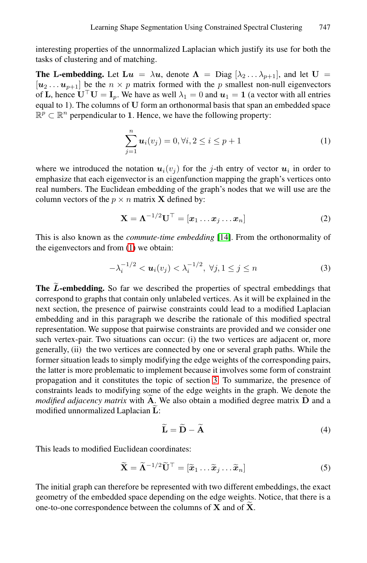interesting properties of the unnormalized Laplacian which justify its use for both the tasks of clustering and of matching.

**The L-embedding.** Let  $\mathbf{L}u = \lambda u$ , denote  $\mathbf{\Lambda} = \text{Diag} [\lambda_2 \dots \lambda_{p+1}]$ , and let  $\mathbf{U} =$  $[u_2 \dots u_{p+1}]$  be the  $n \times p$  matrix formed with the p smallest non-null eigenvectors of **L**, hence  $\mathbf{U}^\top \mathbf{U} = \mathbf{I}_p$ . We have as well  $\lambda_1 = 0$  and  $\mathbf{u}_1 = \mathbf{1}$  (a vector with all entries equal to 1). The columns of **U** form an orthonormal basis that span an embedded space  $\mathbb{R}^p \subset \mathbb{R}^n$  perpendicular to 1. Hence, we have the following property:

<span id="page-4-1"></span><span id="page-4-0"></span>
$$
\sum_{j=1}^{n} u_i(v_j) = 0, \forall i, 2 \le i \le p+1
$$
 (1)

where [w](#page-4-0)e introduced the notation  $u_i(v_i)$  for the j-th entry of vector  $u_i$  in order to emphasize that each eigenvector is an eigenfunction mapping the graph's vertices onto real numbers. The Euclidean embedding of the graph's nodes that we will use are the column vectors of the  $p \times n$  matrix **X** defined by:

$$
\mathbf{X} = \mathbf{\Lambda}^{-1/2} \mathbf{U}^{\top} = [\mathbf{x}_1 \dots \mathbf{x}_j \dots \mathbf{x}_n]
$$
 (2)

This is also known as the *commute-time embedding* [14]. From the orthonormality of the eigenvectors and from (1) we obtain:

<span id="page-4-2"></span>
$$
-\lambda_i^{-1/2} < \mathbf{u}_i(v_j) < \lambda_i^{-1/2}, \ \forall j, 1 \le j \le n \tag{3}
$$

**The**  $\widetilde{L}$ -embedding. So far we described the properties of spectral embeddings that correspond to graphs that conta[in](#page-5-0) only unlabeled vertices. As it will be explained in the next section, the presence of pairwise constraints could lead to a modified Laplacian embedding and in this paragraph we describe the rationale of this modified spectral representation. We suppose that pairwise constraints are provided and we consider one such vertex-pair. Two situations can occur: (i) the two vertices are adjacent or, more generally, (ii) the two vertices are connected by one or several graph paths. While the former situation leads to simply modifying the edge weights of the corresponding pairs, the latter is more problematic to implement because it involves some form of constraint propagation and it constitutes the topic of section 3. To summarize, the presence of constraints leads to modifying some of the edge weights in the graph. We denote the *modified adjacency matrix* with **<sup>A</sup>** . We also obtain a modified degree matrix **<sup>D</sup>** and a modified unnormalized Laplacian **<sup>L</sup>**:

$$
\widetilde{\mathbf{L}} = \widetilde{\mathbf{D}} - \widetilde{\mathbf{A}} \tag{4}
$$

This leads to modified Euclidean coordinates:

$$
\widetilde{\mathbf{X}} = \widetilde{\mathbf{\Lambda}}^{-1/2} \widetilde{\mathbf{U}}^{\top} = [\widetilde{\mathbf{x}}_1 \dots \widetilde{\mathbf{x}}_j \dots \widetilde{\mathbf{x}}_n]
$$
(5)

The initial graph can therefore be represented with two different embeddings, the exact geometry of the embedded space depending on the edge weights. Notice, that there is a one-to-one correspondence between the columns of **<sup>X</sup>** and of **<sup>X</sup>** .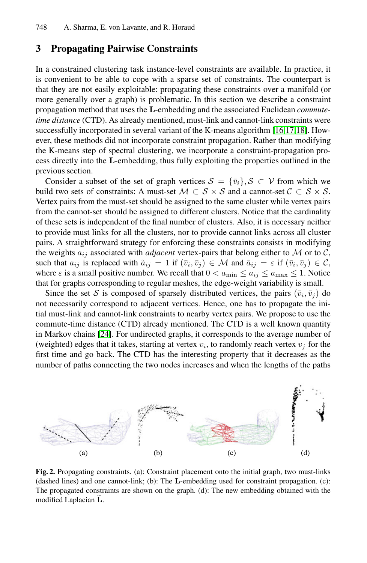# <span id="page-5-0"></span>**3 Propagating Pairwise Constraints**

In a constrained clustering task instance-level constraints are available. In practice, it is convenient to be able to cope with a sparse set of constraints. The counterpart is that they are not easily exploitable: propagating these constraints over a manifold (or more generally over a graph) is problematic. In this section we describe a constraint propagation method that uses the **L**-embedding and the associated Euclidean *commutetime distance* (CTD). As already mentioned, must-link and cannot-link constraints were successfully incorporated in several variant of the K-means algorithm [16,17,18]. However, these methods did not incorporate constraint propagation. Rather than modifying the K-means step of spectral clustering, we incorporate a constraint-propagation process directly into the **L**-embedding, thus fully exploiting the properties outlined in the previous section.

Consider a subset of the set of graph vertices  $S = {\bar{v}_i}, S \subset V$  from which we build two sets of constraints: A must-set  $M \subset S \times S$  and a cannot-set  $C \subset S \times S$ . Vertex pairs from the must-set should be assigned to the same cluster while vertex pairs from the cannot-set should be assigned to different clusters. Notice that the cardinality of these sets is independent of the final number of clusters. Also, it is necessary neither to provide must links for all the clusters, nor to provide cannot links across all cluster pairs. A straightforward strategy for enforcing these constraints consists in modifying [th](#page-13-10)e weights  $a_{ij}$  associated with *adjacent* vertex-pairs that belong either to  $M$  or to  $C$ , such that  $a_{ij}$  is replaced with  $\tilde{a}_{ij} = 1$  if  $(\bar{v}_i, \bar{v}_j) \in \mathcal{M}$  and  $\tilde{a}_{ij} = \varepsilon$  if  $(\bar{v}_i, \bar{v}_j) \in \mathcal{C}$ , where  $\varepsilon$  is a small positive number. We recall that  $0 < a_{\min} \le a_{ij} \le a_{\max} \le 1$ . Notice that for graphs corresponding to regular meshes, the edge-weight variability is small.

Since the set S is composed of sparsely distributed vertices, the pairs  $(\bar{v}_i, \bar{v}_j)$  do not necessarily correspond to adjacent vertices. Hence, one has to propagate the initial must-link and cannot-link constraints to nearby vertex pairs. We propose to use the commute-time distance (CTD) already mentioned. The CTD is a well known quantity in Markov chains [24]. For undirected graphs, it corresponds to the average number of (weighted) edges that it takes, starting at vertex  $v_i$ , to randomly reach vertex  $v_j$  for the first time and go back. The CTD has the interesting property that it decreases as the number of paths connecting the two nodes increases and when the lengths of the paths

<span id="page-5-1"></span>

**Fig. 2.** Propagating constraints. (a): Constraint placement onto the initial graph, two must-links (dashed lines) and one cannot-link; (b): The **L**-embedding used for constraint propagation. (c): The propagated constraints are shown on the graph. (d): The new embedding obtained with the modified Laplacian **<sup>L</sup>**.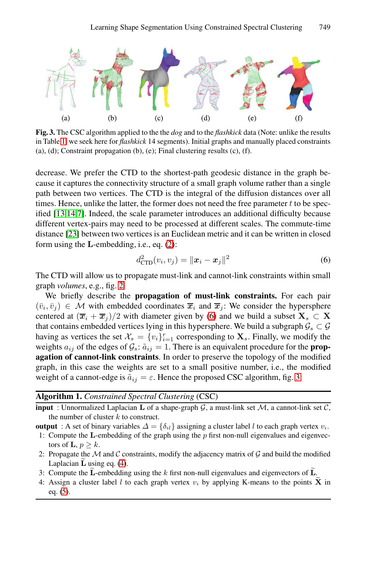<span id="page-6-1"></span>

**Fig. 3.** The CSC algorithm applied to the the *dog* and to the *flashkick* data (Note: unlike the results in Table 1, we seek here for *flashkick* 14 segments). Initial graphs and manually placed constraints (a), (d); Constraint propagation (b), (e); Final clustering results (c),  $(f)$ .

<span id="page-6-0"></span>decrease. We pre[fer](#page-4-1) the CTD to the shortest-path geodesic distance in the graph because it captures the connectivity structure of a small graph volume rather than a single path between two vertices. The CTD is the integral of the diffusion distances over all tim[es](#page-5-1). Hence, unlike the latter, the former does not need the free parameter  $t$  to be specified [13,14,7]. Indeed, the scale parameter introduces an additional difficulty because different vertex-pairs may need to be processed at different scales. The commute-time distance [23] between two ver[tic](#page-6-0)es is an Euclidean metric and it can be written in closed form using the **L**-embedding, i.e., eq. (2):

$$
d_{\text{CTD}}^2(v_i, v_j) = ||\boldsymbol{x}_i - \boldsymbol{x}_j||^2
$$
\n(6)

The CTD will allow us to propagate must-link and cannot-link constraints within small graph *volumes*, e.g., fig. 2.

We briefly describe the **propagation of must-li[nk](#page-6-1) constraints.** For each pair  $(\bar{v}_i, \bar{v}_j) \in \mathcal{M}$  with embedded coordinates  $\bar{x}_i$  and  $\bar{x}_j$ : We consider the hypersphere centered at  $(\bar{x}_i + \bar{x}_j)/2$  with diameter given by (6) and we build a subset  $\mathbf{X}_s \subset \mathbf{X}$ that contains embedded vertices lying in this hypersphere. We build a subgraph  $\mathcal{G}_s \subset \mathcal{G}$ having as vertices the set  $\mathcal{X}_s = \{v_i\}_{i=1}^r$  corresponding to  $\mathbf{X}_s$ . Finally, we modify the weights  $a_i$  of the edges of  $\mathcal{G} : \tilde{a} \cdot \tilde{b} = 1$ . There is an equivalent procedure for the **prop**weights  $a_{ij}$  of the edges of  $\mathcal{G}_s$ :  $\tilde{a}_{ij} = 1$ . There is an equivalent procedure for the **prop-**<br>**agation of cannot-link constraints**. In order to preserve the topology of the modified **agation of cannot-link constraints**. In order to preserve the topology of the modified graph, in this case the weights are set to a small positive number, i.e., the modified wei[gh](#page-4-2)t of a cannot-edge is  $\tilde{a}_{ij} = \varepsilon$ . Hence the proposed CSC algorithm, fig. 3:

## **Algorithm 1.** *Constrained Spectral Clustering* (CSC)

**input** : Unnormalized Laplacian **L** of a shape-graph G, a must-link set M, a cannot-link set C, the number of cluster  $k$  to construct.

- **output** : A set of binary variables  $\Delta = \{\delta_{il}\}\$ assigning a cluster label l to each graph vertex  $v_i$ . 1: Compute the **L**-embedding of the graph using the p first non-null eigenvalues and eigenvec
	- tors of **L**,  $p \geq k$ .
- 2: Propagate the  $\mathcal M$  and  $\mathcal C$  constraints, modify the adjacency matrix of  $\mathcal G$  and build the modified Laplacian **<sup>L</sup>** using eq. (4).
- 3: Compute the **<sup>L</sup>**-embedding using the <sup>k</sup> first non-null eigenvalues and eigenvectors of **<sup>L</sup>**.
- 4: Assign a cluster label l to each graph vertex  $v_i$  by applying K-means to the points  $\tilde{\mathbf{X}}$  in eq. (5).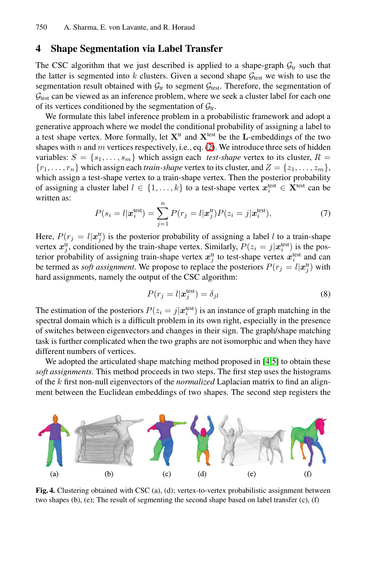# **4 Shape Segmentation via Label Transfer**

The CSC algorithm that we [ju](#page-4-1)st described is applied to a shape-graph  $G_{tr}$  such that the latter is segmented into k clusters. Given a second shape  $G_{\text{test}}$  we wish to use the segmentation result obtained with  $\mathcal{G}_{tr}$  to segment  $\mathcal{G}_{test}$ . Therefore, the segmentation of  $\mathcal{G}_{\text{test}}$  can be viewed as an inference problem, where we seek a cluster label for each one of its vertices conditioned by the segmentation of  $\mathcal{G}_{tr}$ .

<span id="page-7-0"></span>We formulate this label inference problem in a probabilistic framework and adopt a generative approach where we model the conditional probability of assigning a label to a test shape vertex. More formally, let  $X<sup>tr</sup>$  and  $X<sup>test</sup>$  be the **L**-embeddings of the two shapes with  $n$  and  $m$  vertices respectively, i.e., eq. (2). We introduce three sets of hidden variables:  $S = \{s_1, \ldots, s_m\}$  which assign each *test-shape* vertex to its cluster,  $R =$  $\{r_1,\ldots,r_n\}$  which assign each *train-shape* vertex to its cluster, and  $Z = \{z_1,\ldots,z_m\}$ , which assign a test-shape vertex to a train-shape vertex. Then the posterior probability of assigning a cluster label  $l \in \{1, ..., k\}$  to a test-shape vertex  $x_i^{\text{test}} \in \mathbf{X}^{\text{test}}$  can be written as: written as:

<span id="page-7-1"></span>
$$
P(s_i = l | \boldsymbol{x}_i^{\text{test}}) = \sum_{j=1}^n P(r_j = l | \boldsymbol{x}_j^{\text{tr}}) P(z_i = j | \boldsymbol{x}_i^{\text{test}}), \tag{7}
$$

Here,  $P(r_j = l | \mathbf{x}_j^{\text{tr}})$  is the posterior probability of assigning a label l to a train-shape<br>vertex  $\mathbf{x}^{\text{tr}}$  conditioned by the train-shape vertex. Similarly,  $P(z_i = j | \mathbf{x}^{\text{test}})$  is the posvertex  $x_j^{\text{tr}}$ , conditioned by the train-shape vertex. Similarly,  $P(z_i = j|x_i^{\text{test}})$  is the pos-<br>terior probability of assigning train-shape vertex  $x_i^{\text{tr}}$  to test-shape vertex  $x_i^{\text{test}}$  and can terior probability of assigning train-shape vertex  $x_j^{\text{tr}}$  to test-shape vertex  $x_i^{\text{test}}$  and can be termed as *soft assignment*. We propose to replace the posteriors  $P(r_j = l | \mathbf{x}_j^{\text{tr}})$  with hard assignments pamely the output of the CSC algorithm: hard assignments, namely the output of the C[SC](#page-12-3) [al](#page-12-4)gorithm:

<span id="page-7-2"></span>
$$
P(r_j = l | \mathbf{x}_j^{\text{test}}) = \delta_{jl} \tag{8}
$$

The estimation of the posteriors  $P(z_i = j | x_i^{\text{test}})$  is an instance of graph matching in the spectral domain which is a difficult problem in its own right, especially in the presence spectral domain which is a difficult problem in its own right, especially in the presence of switches between eigenvectors and changes in their sign. The graph/shape matching task is further complicated when the two graphs are not isomorphic and when they have different numbers of vertices.

We adopted the articulated shape matching method proposed in [4,5] to obtain these *soft assignments*. This method proceeds in two steps. The first step uses the histograms of the k first non-null eigenvectors of the *normalized* Laplacian matrix to find an alignment between the Euclidean embeddings of two shapes. The second step registers the



**Fig. 4.** Clustering obtained with CSC (a), (d); vertex-to-vertex probabilistic assignment between two shapes (b), (e); The result of segmenting the second shape based on label transfer (c), (f)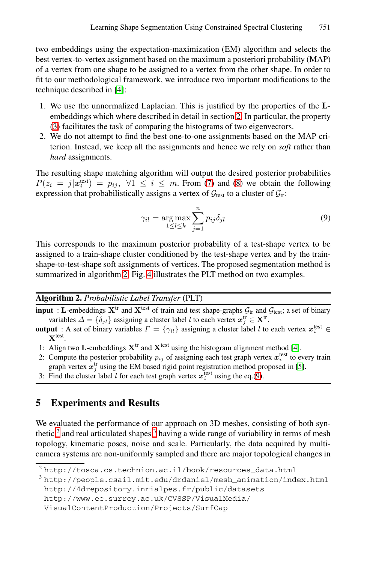two embeddings using the expectation-maximization (EM) algorithm and selects the best vertex-to-vertex assignment based on the maximum a posteriori probability (MAP) of a vertex from one shape to be assigned to a vertex from the other shape. In order to fit to our methodological framework, we introduce two important modifications to the technique described in [4]:

- 1. We use the unnormalize[d L](#page-7-0)aplac[ian](#page-7-1). This is justified by the properties of the **L**embeddings which where described in detail in section 2. In particular, the property (3) facilitates the task of comparing the histograms of two eigenvectors.
- 2. We do not attempt to find the best one-to-one assignments based on the MAP criterion. Instead, we keep all the assignments and hence we rely on *soft* rather than *hard* assignments.

The resulting shape matching algorithm will output the desired posterior probabilities  $P(z_i = j|\mathbf{x}_i^{\text{test}}) = p_{ij}, \forall 1 \le i \le m$ . From (7) and (8) we obtain the following<br>expression that probabilistically assigns a vertex of  $G$ , to a cluster of  $G$ . expr[es](#page-8-0)sion [tha](#page-7-2)t probabilistically assigns a vertex of  $\mathcal{G}_{\text{test}}$  to a cluster of  $\mathcal{G}_{\text{tr}}$ :

<span id="page-8-1"></span>
$$
\gamma_{il} = \underset{1 \le l \le k}{\arg \max} \sum_{j=1}^{n} p_{ij} \delta_{jl} \tag{9}
$$

<span id="page-8-0"></span>This corresponds to the maximum posterior probability of a test-shape vertex to be assigned to a train-shape cluster conditioned by the test-shape vertex and by the trainshape-to-test-shape soft assignments of vertices. The p[ro](#page-12-3)posed segmentation method is summarized in algorithm 2. Fig. 4 illustrates the PLT method on two examples.

#### **Algorithm 2.** *Probabilistic Label Transfer* [\(P](#page-8-1)LT)

**input** : **L**-embeddings  $X^{\text{tr}}$  and  $X^{\text{test}}$  of train and test shape-graphs  $G_{\text{tr}}$  and  $G_{\text{test}}$ ; a set of binary variables  $\Delta = \{\delta_{jl}\}\$ assigning a cluster label l to each vertex  $x_j^{\text{tr}} \in \mathbf{X}^{\text{tr}}$ .

- **output** : A set of binary variables  $\Gamma = \{\gamma_{il}\}$  assigning a cluster label l to each vertex  $x_i^{\text{test}}$ **X**test.
- 1: Align two **L**-embeddings  $X<sup>tr</sup>$  and  $X<sup>test</sup>$  using the histogram alignment method [4].
- 2: Compute t[he](#page-8-2) posterior probability  $p_{ij}$  of assigning each test graph vertex  $x_i^{\text{test}}$  to every train graph vertex  $x_j^{\text{tr}}$  using the EM based rigid point registration method proposed in [5].
- 3: Find the cluster label *l* for each test graph vertex  $x_i^{\text{test}}$  using the eq.(9).

# <span id="page-8-2"></span>**[5 Experiments and Results](http://people.csail.mit.edu/drdaniel/mesh_animation/index.html)**

[We](http://www.ee.surrey.ac.uk/CVSSP/VisualMedia/VisualContentProduction/Projects/SurfCap) [evaluated](http://www.ee.surrey.ac.uk/CVSSP/VisualMedia/VisualContentProduction/Projects/SurfCap) [the](http://www.ee.surrey.ac.uk/CVSSP/VisualMedia/VisualContentProduction/Projects/SurfCap) [performance](http://www.ee.surrey.ac.uk/CVSSP/VisualMedia/VisualContentProduction/Projects/SurfCap) [of](http://www.ee.surrey.ac.uk/CVSSP/VisualMedia/VisualContentProduction/Projects/SurfCap) [our](http://www.ee.surrey.ac.uk/CVSSP/VisualMedia/VisualContentProduction/Projects/SurfCap) [appro](http://www.ee.surrey.ac.uk/CVSSP/VisualMedia/VisualContentProduction/Projects/SurfCap)ach on 3D meshes, consisting of both synthetic  $2$  [and](http://www.ee.surrey.ac.uk/CVSSP/VisualMedia/VisualContentProduction/Projects/SurfCap) [real](http://www.ee.surrey.ac.uk/CVSSP/VisualMedia/VisualContentProduction/Projects/SurfCap) [articulated](http://www.ee.surrey.ac.uk/CVSSP/VisualMedia/VisualContentProduction/Projects/SurfCap) [shapes](http://www.ee.surrey.ac.uk/CVSSP/VisualMedia/VisualContentProduction/Projects/SurfCap)  $3$  having a wide range of variability in terms of mesh topology, kinematic poses, noise and scale. Particularly, the data acquired by multicamera systems are non-uniformly sampled and there are major topological changes in

<sup>2</sup> http://tosca.cs.technion.ac.il/book/resources\_data.html

<sup>3</sup> http://people.csail.mit.edu/drdaniel/mesh\_animation/index.html http://4drepository.inrialpes.fr/public/datasets

http://www.ee.surrey.ac.uk/CVSSP/VisualMedia/

VisualContentProduction/Projects/SurfCap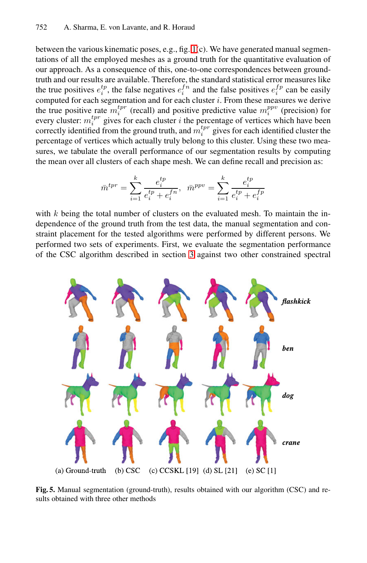between the various kinematic poses, e.g., fig. 1(c). We have generated manual segmentations of all the employed meshes as a ground truth for the quantitative evaluation of our approach. As a consequence of this, one-to-one correspondences between groundtruth and our results are available. Therefore, the standard statistical error measures like the true positives  $e_i^{tp}$ , the false negatives  $e_i^{fn}$  and the false positives  $e_i^{fp}$  can be easily computed for each segmentation and for each cluster i. From these measures we derive the true positive rate  $m_i^{typ}$  (recall) and positive predictive value  $m_i^{ppv}$  (precision) for every cluster:  $m_i^{tr}$  gives for each cluster *i* the percentage of vertices which have been correctly identified from the ground truth, and  $m_i^{typ}$  gives for each identified cluster the percentage of vertices which actually truly belong to this cluster. Using these two measures, we tabulate the overall performance of our segmentation results by computing the mean over all clusters of each shape mesh. We can define recall and precision as:

$$
\bar{m}^{tpr} = \sum_{i=1}^{k} \frac{e_i^{tp}}{e_i^{tp} + e_i^{fn}}, \quad \bar{m}^{ppv} = \sum_{i=1}^{k} \frac{e_i^{tp}}{e_i^{tp} + e_i^{fp}}
$$

with  $k$  being the total number of clusters on the evaluated mesh. To maintain the independence of the ground truth from the test data, the manual segmentation and constraint placement for the tested algorithms were performed by different persons. We performed two sets of experiments. First, we evaluate the segmentation performance of the CSC algorithm described in section 3 against two other constrained spectral



**Fig. 5.** Manual segmentation (ground-truth), results obtained with our algorithm (CSC) and results obtained with three other methods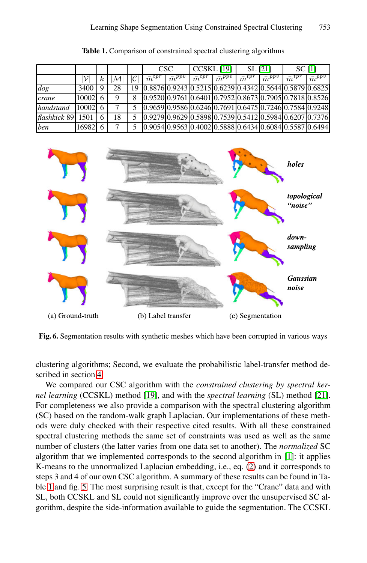|              |                 |          |    |    | <b>CSC</b>      |                            | <b>CCSKL</b> [19] |                 | SL [21]         |                 | SC[1]           |                                                         |
|--------------|-----------------|----------|----|----|-----------------|----------------------------|-------------------|-----------------|-----------------|-----------------|-----------------|---------------------------------------------------------|
|              |                 | $\kappa$ |    |    | $\bar{m}^{tpr}$ | $\bar{m}^{pp\overline{v}}$ | $\bar{m}^{tpr}$   | $\bar{m}^{ppv}$ | $\bar{m}^{tpr}$ | $\bar{m}^{ppv}$ | $\bar{m}^{tpr}$ | $\bar{m}^{pp\overline{v}}$                              |
| dog          | 3400            |          | 28 | 19 |                 |                            |                   |                 |                 |                 |                 | 0.8876 0.9243 0.5215 0.6239 0.4342 0.5644 0.5879 0.6825 |
| crane        | 10002           |          | 9  | 8  |                 |                            |                   |                 |                 |                 |                 | 0.9520 0.9761 0.6401 0.7952 0.8673 0.7905 0.7818 0.8526 |
| handstand    | $10002 \quad 6$ |          |    |    |                 |                            |                   |                 |                 |                 |                 | 0.9659 0.9586 0.6246 0.7691 0.6475 0.7246 0.7584 0.9248 |
| flashkick 89 | 1501            |          | 18 |    |                 |                            |                   |                 |                 |                 |                 | 0.9279 0.9629 0.5898 0.7539 0.5412 0.5984 0.6207 0.7376 |
| ben          | 16982 6         |          |    |    |                 |                            |                   |                 |                 |                 |                 | 0.9054 0.9563 0.4002 0.5888 0.6434 0.6084 0.5587 0.6494 |

**Table 1.** Comparison of constrained spectral clustering algorithms



**Fig. 6.** Segmentation results with synthetic meshes which have been corrupted in various ways

clustering algorithms; Second, we evaluate the probabilistic label-transfer method described in section 4.

We compared our CSC algorithm wit[h t](#page-4-1)he *const[ra](#page-12-0)ined clustering by spectral kernel learning* (CCSKL) method [19], and with the *spectral learning* (SL) method [21]. For completeness we also provide a comparison with the spectral clustering algorithm (SC) based on the random-walk graph Laplacian. Our implementations of these methods were duly checked with their respective cited results. With all these constrained spectral clustering methods the same set of constraints was used as well as the same number of clusters (the latter varies from one data set to another). The *normalized* SC algorithm that we implemented corresponds to the second algorithm in [1]: it applies K-means to the unnormalized Laplacian embedding, i.e., eq. (2) and it corresponds to steps 3 and 4 of our own CSC algorithm. A summary of these results can be found in Table 1 and fig. 5. The most surprising result is that, except for the "Crane" data and with SL, both CCSKL and SL could not significantly improve over the unsupervised SC algorithm, despite the side-information available to guide the segmentation. The CCSKL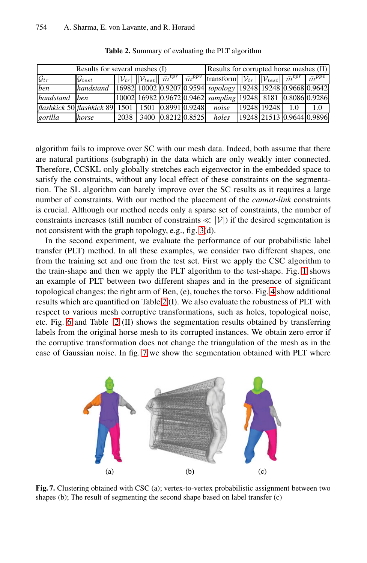<span id="page-11-0"></span>

| Results for several meshes (I)                                                           | Results for corrupted horse meshes (II)                                    |      |  |                    |                                                                                                                                                         |  |  |     |                           |
|------------------------------------------------------------------------------------------|----------------------------------------------------------------------------|------|--|--------------------|---------------------------------------------------------------------------------------------------------------------------------------------------------|--|--|-----|---------------------------|
| $\mathcal{G}_{tr}$                                                                       | $\mathcal{G}_{test}$                                                       |      |  |                    | $ \mathcal{V}_{tr} $ $ \mathcal{V}_{test} $ $ \bar{m}^{tpr} $ $ \bar{m}^{ppv} $ transform $ \mathcal{V}_{tr} $ $ \mathcal{V}_{test} $ $ \bar{m}^{tpr} $ |  |  |     | $\bar{m}^{ppv}$           |
| ben                                                                                      | handstand   16982 10002 0.9207 0.9594 topology   19248 19248 0.9668 0.9642 |      |  |                    |                                                                                                                                                         |  |  |     |                           |
| handstand ben                                                                            |                                                                            |      |  |                    | 10002 16982 0.9672 0.9462 sampling 19248 8181 0.8086 0.9286                                                                                             |  |  |     |                           |
| flashkick 50  flashkick 89   1501    1501    16.8991    0.9248   noise    19248    19248 |                                                                            |      |  |                    |                                                                                                                                                         |  |  | 1.0 | 1.0                       |
| gorilla                                                                                  | horse                                                                      | 2038 |  | 3400 0.8212 0.8525 | holes                                                                                                                                                   |  |  |     | 19248 21513 0.9644 0.9896 |

**Table 2.** Summary of evaluating the PLT algorithm

algorithm fails to improve [ov](#page-6-1)er SC with our mesh data. Indeed, both assume that there are natural partitions (subgraph) in the data which are only weakly inter connected. Therefore, CCSKL only globally stretches each eigenvector in the embedded space to satisfy the constraints, without any local effect of these constraints on the segmentation. The SL algorithm can barely improve over the SC [re](#page-1-0)sults as it requires a large number of constraints. With our method the placement of the *cannot-link* constraints is crucial. Although our method needs only a s[pa](#page-7-2)rse set of constraints, the number of constraints incr[eas](#page-11-0)es (still number of constraints  $\ll$  |V|) if the desired segmentation is not consistent with the graph topology, e.g., fig. 3(d).

[In](#page-11-0) the second experiment, we evaluate the performance of our probabilistic label transfer (PLT) method. In all these examples, we consider two different shapes, one from the training set and one from the test set. First we apply the CSC algorithm to the train-s[ha](#page-11-1)pe and then we apply the PLT algorithm to the test-shape. Fig. 1 shows an example of PLT between two different shapes and in the presence of significant topological changes: the right arm of Ben, (e), touches the torso. Fig. 4 show additional results which are quantified on Table 2 (I). We also evaluate the robustness of PLT with respect to various mesh corruptive transformations, such as holes, topological noise, etc. Fig. 6 and Table 2 (II) shows the segmentation results obtained by transferring labels from the original horse mesh to its corrupted instances. We obtain zero error if the corruptive transformation does not change the triangulation of the mesh as in the case of Gaussian noise. In fig. 7 we show the segmentation obtained with PLT where

<span id="page-11-1"></span>

Fig. 7. Clustering obtained with CSC (a); vertex-to-vertex probabilistic assignment between two shapes (b); The result of segmenting the second shape based on label transfer (c)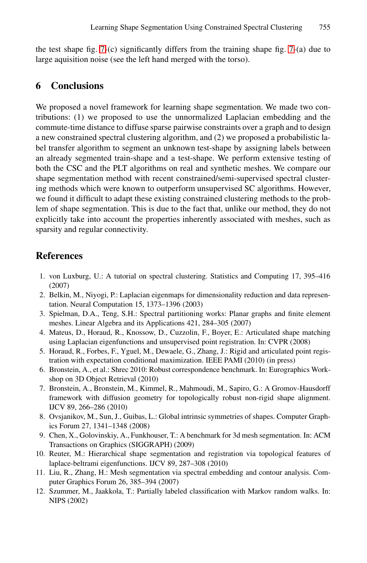the test shape fig. 7-(c) significantly differs from the training shape fig. 7-(a) due to large aquisition noise (see the left hand merged with the torso).

# **6 Conclusions**

We proposed a novel framework for learning shape segmentation. We made two contributions: (1) we proposed to use the unnormalized Laplacian embedding and the commute-time distance to diffuse sparse pairwise constraints over a graph and to design a new constrained spectral clustering algorithm, and (2) we proposed a probabilistic label transfer algorithm to segment an unknown test-shape by assigning labels between an already segmented train-shape and a test-shape. We perform extensive testing of both the CSC and the PLT algorithms on real and synthetic meshes. We compare our shape segmentation method with recent constrained/semi-supervised spectral clustering methods which were known to outperform unsupervised SC algorithms. However, we found it difficult to adapt these existing constrained clustering methods to the problem of shape segmentation. This is due to the fact that, unlike our method, they do not explicitly take into account the properties inherently associated with meshes, such as sparsity and regular connectivity.

### <span id="page-12-4"></span><span id="page-12-3"></span><span id="page-12-2"></span><span id="page-12-1"></span><span id="page-12-0"></span>**References**

- <span id="page-12-5"></span>1. von Luxburg, U.: A tutorial on spectral clustering. Statistics and Computing 17, 395–416 (2007)
- 2. Belkin, M., Niyogi, P.: Laplacian eigenmaps for dimensionality reduction and data representation. Neural Computation 15, 1373–1396 (2003)
- <span id="page-12-6"></span>3. Spielman, D.A., Teng, S.H.: Spectral partitioning works: Planar graphs and finite element meshes. Linear Algebra and its Applications 421, 284–305 (2007)
- <span id="page-12-7"></span>4. Mateus, D., Horaud, R., Knossow, D., Cuzzolin, F., Boyer, E.: Articulated shape matching using Laplacian eigenfunctions and unsupervised point registration. In: CVPR (2008)
- <span id="page-12-8"></span>5. Horaud, R., Forbes, F., Yguel, M., Dewaele, G., Zhang, J.: Rigid and articulated point registration with expectation conditional maximization. IEEE PAMI (2010) (in press)
- 6. Bronstein, A., et al.: Shrec 2010: Robust correspondence benchmark. In: Eurographics Workshop on 3D Object Retrieval (2010)
- 7. Bronstein, A., Bronstein, M., Kimmel, R., Mahmoudi, M., Sapiro, G.: A Gromov-Hausdorff framework with diffusion geometry for topologically robust non-rigid shape alignment. IJCV 89, 266–286 (2010)
- 8. Ovsjanikov, M., Sun, J., Guibas, L.: Global intrinsic symmetries of shapes. Computer Graphics Forum 27, 1341–1348 (2008)
- 9. Chen, X., Golovinskiy, A., Funkhouser, T.: A benchmark for 3d mesh segmentation. In: ACM Transactions on Graphics (SIGGRAPH) (2009)
- 10. Reuter, M.: Hierarchical shape segmentation and registration via topological features of laplace-beltrami eigenfunctions. IJCV 89, 287–308 (2010)
- 11. Liu, R., Zhang, H.: Mesh segmentation via spectral embedding and contour analysis. Computer Graphics Forum 26, 385–394 (2007)
- 12. Szummer, M., Jaakkola, T.: Partially labeled classification with Markov random walks. In: NIPS (2002)